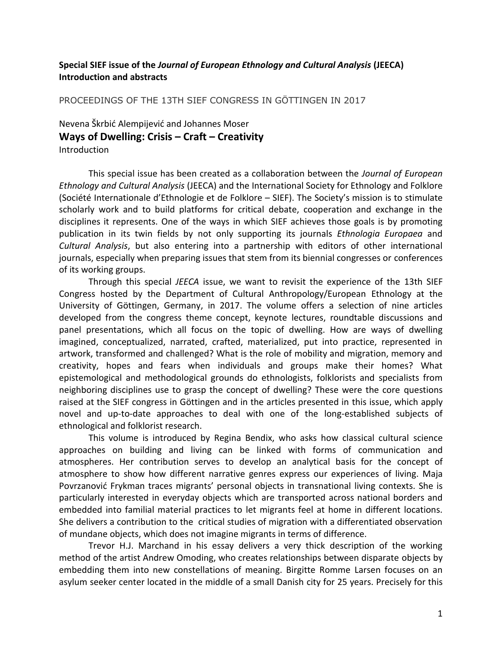# **Special SIEF issue of the** *Journal of European Ethnology and Cultural Analysis* **(JEECA) Introduction and abstracts**

PROCEEDINGS OF THE 13TH SIEF CONGRESS IN GÖTTINGEN IN 2017

Nevena Škrbić Alempijević and Johannes Moser

## **Ways of Dwelling: Crisis – Craft – Creativity**

Introduction

This special issue has been created as a collaboration between the *Journal of European Ethnology and Cultural Analysis* (JEECA) and the International Society for Ethnology and Folklore (Société Internationale d'Ethnologie et de Folklore – SIEF). The Society's mission is to stimulate scholarly work and to build platforms for critical debate, cooperation and exchange in the disciplines it represents. One of the ways in which SIEF achieves those goals is by promoting publication in its twin fields by not only supporting its journals *Ethnologia Europaea* and *Cultural Analysis*, but also entering into a partnership with editors of other international journals, especially when preparing issues that stem from its biennial congresses or conferences of its working groups.

Through this special *JEECA* issue, we want to revisit the experience of the 13th SIEF Congress hosted by the Department of Cultural Anthropology/European Ethnology at the University of Göttingen, Germany, in 2017. The volume offers a selection of nine articles developed from the congress theme concept, keynote lectures, roundtable discussions and panel presentations, which all focus on the topic of dwelling. How are ways of dwelling imagined, conceptualized, narrated, crafted, materialized, put into practice, represented in artwork, transformed and challenged? What is the role of mobility and migration, memory and creativity, hopes and fears when individuals and groups make their homes? What epistemological and methodological grounds do ethnologists, folklorists and specialists from neighboring disciplines use to grasp the concept of dwelling? These were the core questions raised at the SIEF congress in Göttingen and in the articles presented in this issue, which apply novel and up-to-date approaches to deal with one of the long-established subjects of ethnological and folklorist research.

This volume is introduced by Regina Bendix, who asks how classical cultural science approaches on building and living can be linked with forms of communication and atmospheres. Her contribution serves to develop an analytical basis for the concept of atmosphere to show how different narrative genres express our experiences of living. Maja Povrzanović Frykman traces migrants' personal objects in transnational living contexts. She is particularly interested in everyday objects which are transported across national borders and embedded into familial material practices to let migrants feel at home in different locations. She delivers a contribution to the critical studies of migration with a differentiated observation of mundane objects, which does not imagine migrants in terms of difference.

Trevor H.J. Marchand in his essay delivers a very thick description of the working method of the artist Andrew Omoding, who creates relationships between disparate objects by embedding them into new constellations of meaning. Birgitte Romme Larsen focuses on an asylum seeker center located in the middle of a small Danish city for 25 years. Precisely for this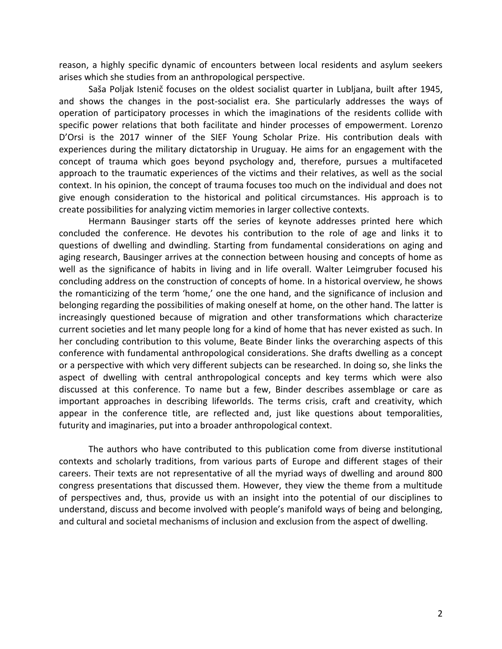reason, a highly specific dynamic of encounters between local residents and asylum seekers arises which she studies from an anthropological perspective.

Saša Poljak Istenič focuses on the oldest socialist quarter in Lubljana, built after 1945, and shows the changes in the post-socialist era. She particularly addresses the ways of operation of participatory processes in which the imaginations of the residents collide with specific power relations that both facilitate and hinder processes of empowerment. Lorenzo D'Orsi is the 2017 winner of the SIEF Young Scholar Prize. His contribution deals with experiences during the military dictatorship in Uruguay. He aims for an engagement with the concept of trauma which goes beyond psychology and, therefore, pursues a multifaceted approach to the traumatic experiences of the victims and their relatives, as well as the social context. In his opinion, the concept of trauma focuses too much on the individual and does not give enough consideration to the historical and political circumstances. His approach is to create possibilities for analyzing victim memories in larger collective contexts.

Hermann Bausinger starts off the series of keynote addresses printed here which concluded the conference. He devotes his contribution to the role of age and links it to questions of dwelling and dwindling. Starting from fundamental considerations on aging and aging research, Bausinger arrives at the connection between housing and concepts of home as well as the significance of habits in living and in life overall. Walter Leimgruber focused his concluding address on the construction of concepts of home. In a historical overview, he shows the romanticizing of the term 'home,' one the one hand, and the significance of inclusion and belonging regarding the possibilities of making oneself at home, on the other hand. The latter is increasingly questioned because of migration and other transformations which characterize current societies and let many people long for a kind of home that has never existed as such. In her concluding contribution to this volume, Beate Binder links the overarching aspects of this conference with fundamental anthropological considerations. She drafts dwelling as a concept or a perspective with which very different subjects can be researched. In doing so, she links the aspect of dwelling with central anthropological concepts and key terms which were also discussed at this conference. To name but a few, Binder describes assemblage or care as important approaches in describing lifeworlds. The terms crisis, craft and creativity, which appear in the conference title, are reflected and, just like questions about temporalities, futurity and imaginaries, put into a broader anthropological context.

The authors who have contributed to this publication come from diverse institutional contexts and scholarly traditions, from various parts of Europe and different stages of their careers. Their texts are not representative of all the myriad ways of dwelling and around 800 congress presentations that discussed them. However, they view the theme from a multitude of perspectives and, thus, provide us with an insight into the potential of our disciplines to understand, discuss and become involved with people's manifold ways of being and belonging, and cultural and societal mechanisms of inclusion and exclusion from the aspect of dwelling.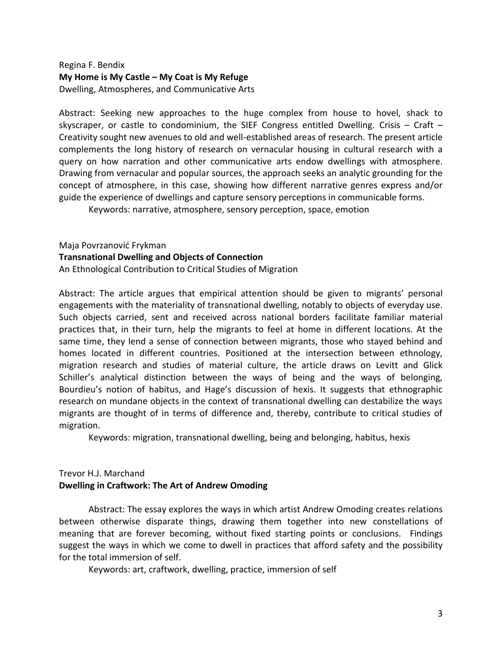# Regina F. Bendix **My Home is My Castle – My Coat is My Refuge** Dwelling, Atmospheres, and Communicative Arts

Abstract: Seeking new approaches to the huge complex from house to hovel, shack to skyscraper, or castle to condominium, the SIEF Congress entitled Dwelling. Crisis – Craft – Creativity sought new avenues to old and well-established areas of research. The present article complements the long history of research on vernacular housing in cultural research with a query on how narration and other communicative arts endow dwellings with atmosphere. Drawing from vernacular and popular sources, the approach seeks an analytic grounding for the concept of atmosphere, in this case, showing how different narrative genres express and/or guide the experience of dwellings and capture sensory perceptions in communicable forms.

Keywords: narrative, atmosphere, sensory perception, space, emotion

Maja Povrzanović Frykman

**Transnational Dwelling and Objects of Connection**

An Ethnological Contribution to Critical Studies of Migration

Abstract: The article argues that empirical attention should be given to migrants' personal engagements with the materiality of transnational dwelling, notably to objects of everyday use. Such objects carried, sent and received across national borders facilitate familiar material practices that, in their turn, help the migrants to feel at home in different locations. At the same time, they lend a sense of connection between migrants, those who stayed behind and homes located in different countries. Positioned at the intersection between ethnology, migration research and studies of material culture, the article draws on Levitt and Glick Schiller's analytical distinction between the ways of being and the ways of belonging, Bourdieu's notion of habitus, and Hage's discussion of hexis. It suggests that ethnographic research on mundane objects in the context of transnational dwelling can destabilize the ways migrants are thought of in terms of difference and, thereby, contribute to critical studies of migration.

Keywords: migration, transnational dwelling, being and belonging, habitus, hexis

# Trevor H.J. Marchand **Dwelling in Craftwork: The Art of Andrew Omoding**

Abstract: The essay explores the ways in which artist Andrew Omoding creates relations between otherwise disparate things, drawing them together into new constellations of meaning that are forever becoming, without fixed starting points or conclusions. Findings suggest the ways in which we come to dwell in practices that afford safety and the possibility for the total immersion of self.

Keywords: art, craftwork, dwelling, practice, immersion of self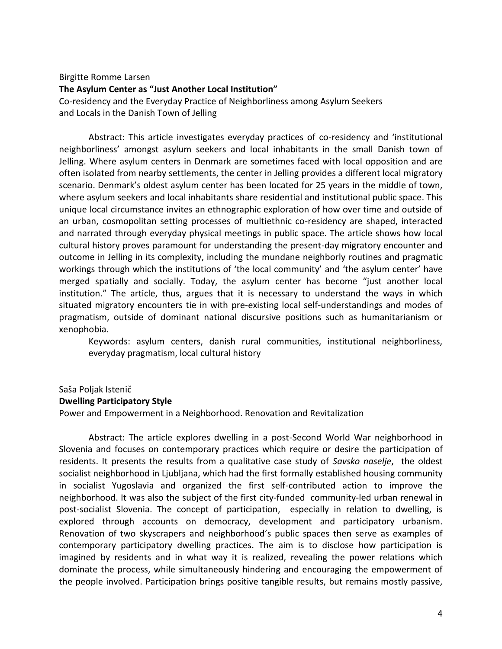# Birgitte Romme Larsen **The Asylum Center as "Just Another Local Institution"** Co-residency and the Everyday Practice of Neighborliness among Asylum Seekers and Locals in the Danish Town of Jelling

Abstract: This article investigates everyday practices of co-residency and 'institutional neighborliness' amongst asylum seekers and local inhabitants in the small Danish town of Jelling. Where asylum centers in Denmark are sometimes faced with local opposition and are often isolated from nearby settlements, the center in Jelling provides a different local migratory scenario. Denmark's oldest asylum center has been located for 25 years in the middle of town, where asylum seekers and local inhabitants share residential and institutional public space. This unique local circumstance invites an ethnographic exploration of how over time and outside of an urban, cosmopolitan setting processes of multiethnic co-residency are shaped, interacted and narrated through everyday physical meetings in public space. The article shows how local cultural history proves paramount for understanding the present-day migratory encounter and outcome in Jelling in its complexity, including the mundane neighborly routines and pragmatic workings through which the institutions of 'the local community' and 'the asylum center' have merged spatially and socially. Today, the asylum center has become "just another local institution." The article, thus, argues that it is necessary to understand the ways in which situated migratory encounters tie in with pre-existing local self-understandings and modes of pragmatism, outside of dominant national discursive positions such as humanitarianism or xenophobia.

Keywords: asylum centers, danish rural communities, institutional neighborliness, everyday pragmatism, local cultural history

# Saša Poljak Istenič **Dwelling Participatory Style**

Power and Empowerment in a Neighborhood. Renovation and Revitalization

Abstract: The article explores dwelling in a post-Second World War neighborhood in Slovenia and focuses on contemporary practices which require or desire the participation of residents. It presents the results from a qualitative case study of *Savsko naselje*, the oldest socialist neighborhood in Ljubljana, which had the first formally established housing community in socialist Yugoslavia and organized the first self-contributed action to improve the neighborhood. It was also the subject of the first city-funded community-led urban renewal in post-socialist Slovenia. The concept of participation, especially in relation to dwelling, is explored through accounts on democracy, development and participatory urbanism. Renovation of two skyscrapers and neighborhood's public spaces then serve as examples of contemporary participatory dwelling practices. The aim is to disclose how participation is imagined by residents and in what way it is realized, revealing the power relations which dominate the process, while simultaneously hindering and encouraging the empowerment of the people involved. Participation brings positive tangible results, but remains mostly passive,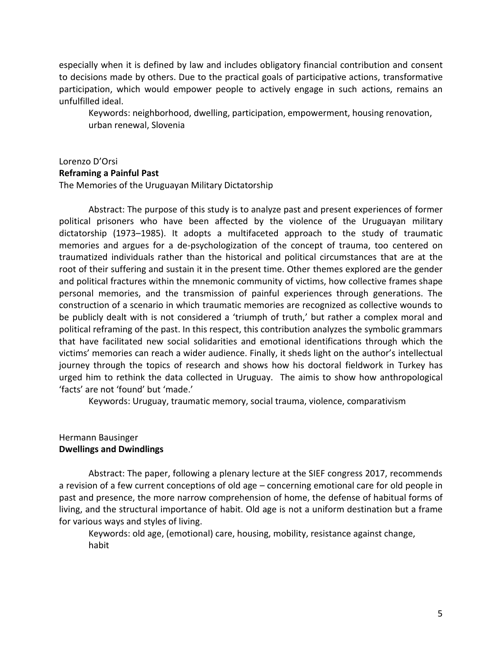especially when it is defined by law and includes obligatory financial contribution and consent to decisions made by others. Due to the practical goals of participative actions, transformative participation, which would empower people to actively engage in such actions, remains an unfulfilled ideal.

Keywords: neighborhood, dwelling, participation, empowerment, housing renovation, urban renewal, Slovenia

#### Lorenzo D'Orsi **Reframing a Painful Past**

The Memories of the Uruguayan Military Dictatorship

Abstract: The purpose of this study is to analyze past and present experiences of former political prisoners who have been affected by the violence of the Uruguayan military dictatorship (1973–1985). It adopts a multifaceted approach to the study of traumatic memories and argues for a de-psychologization of the concept of trauma, too centered on traumatized individuals rather than the historical and political circumstances that are at the root of their suffering and sustain it in the present time. Other themes explored are the gender and political fractures within the mnemonic community of victims, how collective frames shape personal memories, and the transmission of painful experiences through generations. The construction of a scenario in which traumatic memories are recognized as collective wounds to be publicly dealt with is not considered a 'triumph of truth,' but rather a complex moral and political reframing of the past. In this respect, this contribution analyzes the symbolic grammars that have facilitated new social solidarities and emotional identifications through which the victims' memories can reach a wider audience. Finally, it sheds light on the author's intellectual journey through the topics of research and shows how his doctoral fieldwork in Turkey has urged him to rethink the data collected in Uruguay. The aimis to show how anthropological 'facts' are not 'found' but 'made.'

Keywords: Uruguay, traumatic memory, social trauma, violence, comparativism

## Hermann Bausinger **Dwellings and Dwindlings**

Abstract: The paper, following a plenary lecture at the SIEF congress 2017, recommends a revision of a few current conceptions of old age – concerning emotional care for old people in past and presence, the more narrow comprehension of home, the defense of habitual forms of living, and the structural importance of habit. Old age is not a uniform destination but a frame for various ways and styles of living.

Keywords: old age, (emotional) care, housing, mobility, resistance against change, habit